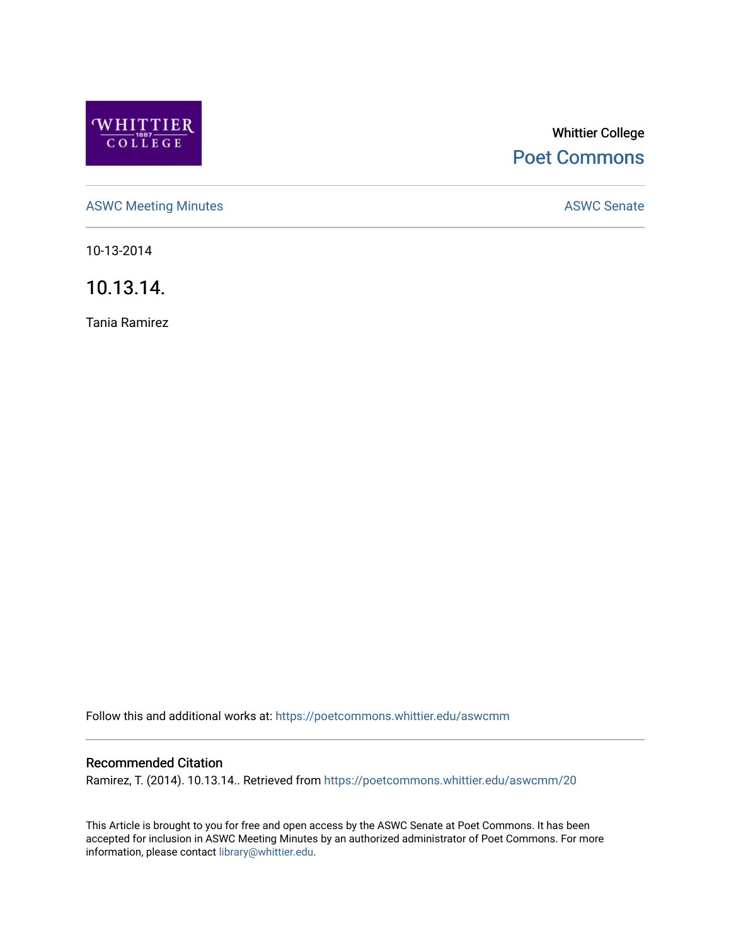

# Whittier College [Poet Commons](https://poetcommons.whittier.edu/)

[ASWC Meeting Minutes](https://poetcommons.whittier.edu/aswcmm) **ASWC Senate** 

10-13-2014

10.13.14.

Tania Ramirez

Follow this and additional works at: [https://poetcommons.whittier.edu/aswcmm](https://poetcommons.whittier.edu/aswcmm?utm_source=poetcommons.whittier.edu%2Faswcmm%2F20&utm_medium=PDF&utm_campaign=PDFCoverPages)

### Recommended Citation

Ramirez, T. (2014). 10.13.14.. Retrieved from [https://poetcommons.whittier.edu/aswcmm/20](https://poetcommons.whittier.edu/aswcmm/20?utm_source=poetcommons.whittier.edu%2Faswcmm%2F20&utm_medium=PDF&utm_campaign=PDFCoverPages)

This Article is brought to you for free and open access by the ASWC Senate at Poet Commons. It has been accepted for inclusion in ASWC Meeting Minutes by an authorized administrator of Poet Commons. For more information, please contact [library@whittier.edu.](mailto:library@whittier.edu)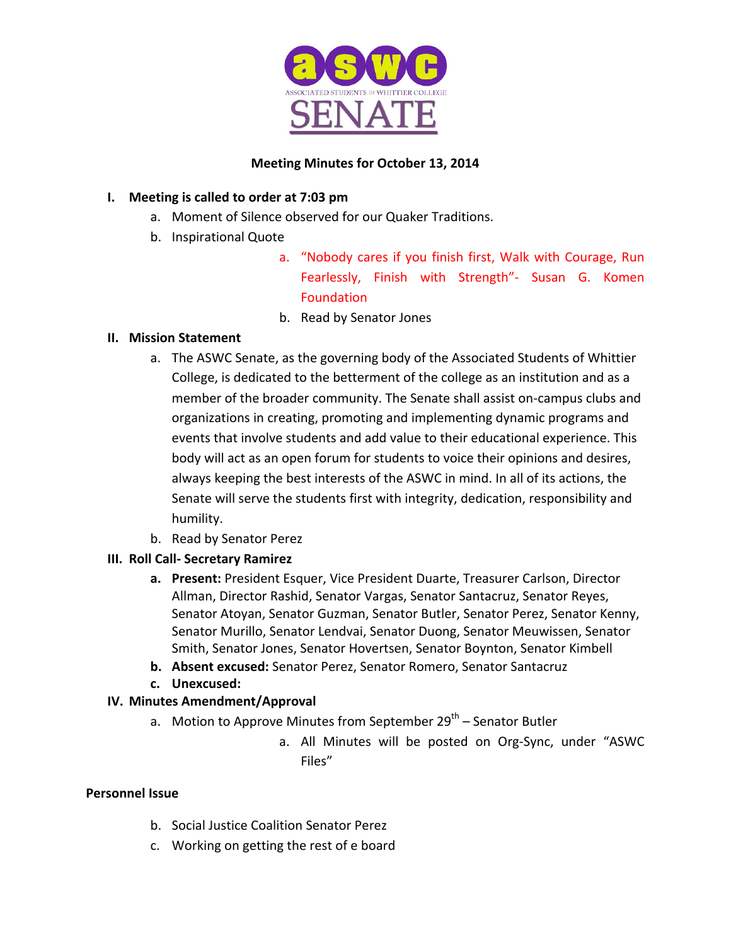

# **Meeting Minutes for October 13, 2014**

# **I.** Meeting is called to order at 7:03 pm

- a. Moment of Silence observed for our Quaker Traditions.
- b. Inspirational Quote
	- a. "Nobody cares if you finish first, Walk with Courage, Run Fearlessly, Finish with Strength"- Susan G. Komen Foundation
	- b. Read by Senator Jones

# **II. Mission Statement**

- a. The ASWC Senate, as the governing body of the Associated Students of Whittier College, is dedicated to the betterment of the college as an institution and as a member of the broader community. The Senate shall assist on-campus clubs and organizations in creating, promoting and implementing dynamic programs and events that involve students and add value to their educational experience. This body will act as an open forum for students to voice their opinions and desires, always keeping the best interests of the ASWC in mind. In all of its actions, the Senate will serve the students first with integrity, dedication, responsibility and humility.
- b. Read by Senator Perez
- **III. Roll Call- Secretary Ramirez**
	- **a.** Present: President Esquer, Vice President Duarte, Treasurer Carlson, Director Allman, Director Rashid, Senator Vargas, Senator Santacruz, Senator Reyes, Senator Atoyan, Senator Guzman, Senator Butler, Senator Perez, Senator Kenny, Senator Murillo, Senator Lendvai, Senator Duong, Senator Meuwissen, Senator Smith, Senator Jones, Senator Hovertsen, Senator Boynton, Senator Kimbell
	- **b.** Absent excused: Senator Perez, Senator Romero, Senator Santacruz
	- **c. Unexcused:**

# **IV. Minutes Amendment/Approval**

- a. Motion to Approve Minutes from September  $29<sup>th</sup>$  Senator Butler
	- a. All Minutes will be posted on Org-Sync, under "ASWC Files"

## **Personnel Issue**

- b. Social Justice Coalition Senator Perez
- c. Working on getting the rest of e board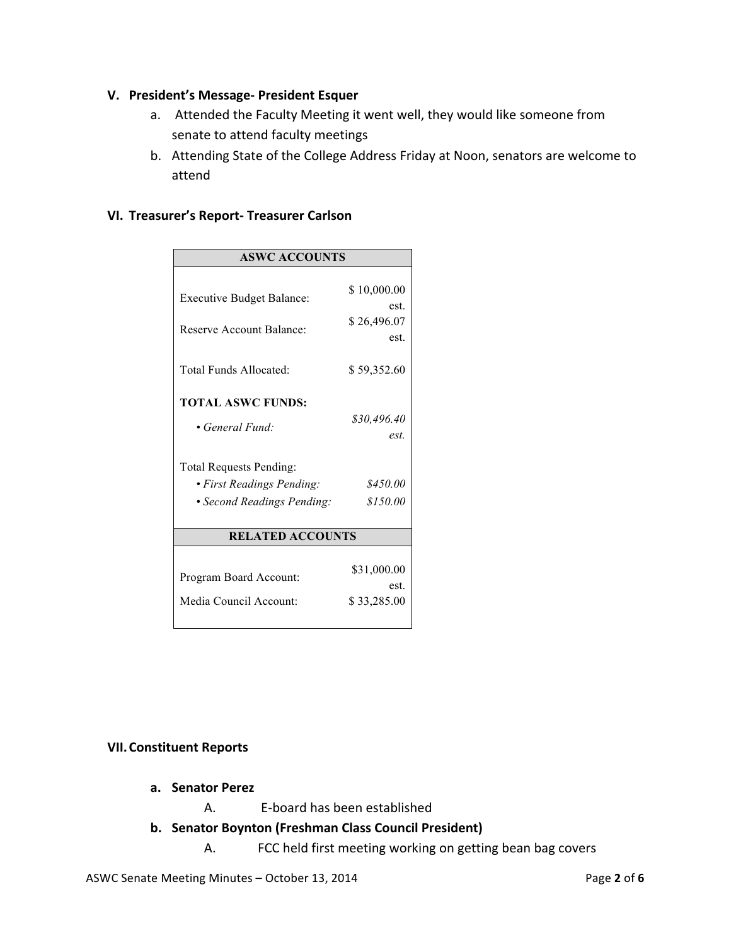#### **V. President's Message- President Esquer**

- a. Attended the Faculty Meeting it went well, they would like someone from senate to attend faculty meetings
- b. Attending State of the College Address Friday at Noon, senators are welcome to attend

#### **VI. Treasurer's Report- Treasurer Carlson**

| <b>ASWC ACCOUNTS</b>             |                     |
|----------------------------------|---------------------|
|                                  |                     |
| <b>Executive Budget Balance:</b> | \$10,000.00         |
|                                  | est.                |
| Reserve Account Balance:         | \$26,496.07<br>est. |
|                                  |                     |
| Total Funds Allocated:           | \$59,352.60         |
|                                  |                     |
| <b>TOTAL ASWC FUNDS:</b>         |                     |
| • General Fund:                  | \$30,496.40         |
|                                  | est.                |
| <b>Total Requests Pending:</b>   |                     |
| • First Readings Pending:        | \$450.00            |
| • Second Readings Pending:       | \$150.00            |
|                                  |                     |
| <b>RELATED ACCOUNTS</b>          |                     |
|                                  |                     |
| Program Board Account:           | \$31,000.00<br>est  |
| Media Council Account:           | \$33,285.00         |
|                                  |                     |
|                                  |                     |

#### **VII.Constituent Reports**

- **a. Senator Perez**
	- A. E-board has been established
- **b. Senator Boynton (Freshman Class Council President)**
	- A. FCC held first meeting working on getting bean bag covers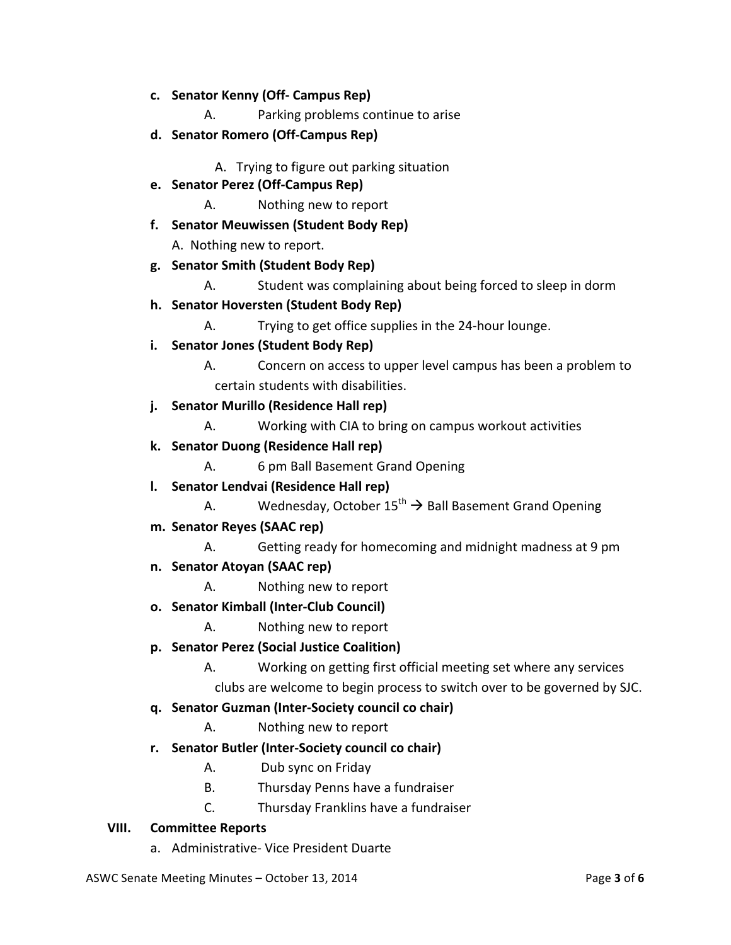- **c. Senator Kenny (Off- Campus Rep)**
	- A. Parking problems continue to arise
- **d. Senator Romero (Off-Campus Rep)**

A. Trying to figure out parking situation

- **e. Senator Perez (Off-Campus Rep)**
	- A. Nothing new to report
- **f. Senator Meuwissen (Student Body Rep)**

A. Nothing new to report.

- **g. Senator Smith (Student Body Rep)**
	- A. Student was complaining about being forced to sleep in dorm
- **h. Senator Hoversten (Student Body Rep)**

A. Trying to get office supplies in the 24-hour lounge.

- **i. Senator Jones (Student Body Rep)**
	- A. Concern on access to upper level campus has been a problem to certain students with disabilities.
- **j. Senator Murillo (Residence Hall rep)**
	- A. Working with CIA to bring on campus workout activities
- **k. Senator Duong (Residence Hall rep)**
	- A. 6 pm Ball Basement Grand Opening
- **l. Senator Lendvai (Residence Hall rep)**
	- A. Wednesday, October  $15^{th} \rightarrow$  Ball Basement Grand Opening
- **m. Senator Reyes (SAAC rep)**
	- A. Getting ready for homecoming and midnight madness at 9 pm
- **n. Senator Atoyan (SAAC rep)**
	- A. Nothing new to report
- **o. Senator Kimball (Inter-Club Council)**
	- A. Nothing new to report
- **p. Senator Perez (Social Justice Coalition)**
	- A. Working on getting first official meeting set where any services

clubs are welcome to begin process to switch over to be governed by SJC.

#### **q. Senator Guzman (Inter-Society council co chair)**

- A. Nothing new to report
- **r. Senator Butler (Inter-Society council co chair)**
	- A. Dub sync on Friday
	- B. Thursday Penns have a fundraiser
	- C. Thursday Franklins have a fundraiser

#### **VIII. Committee Reports**

a. Administrative- Vice President Duarte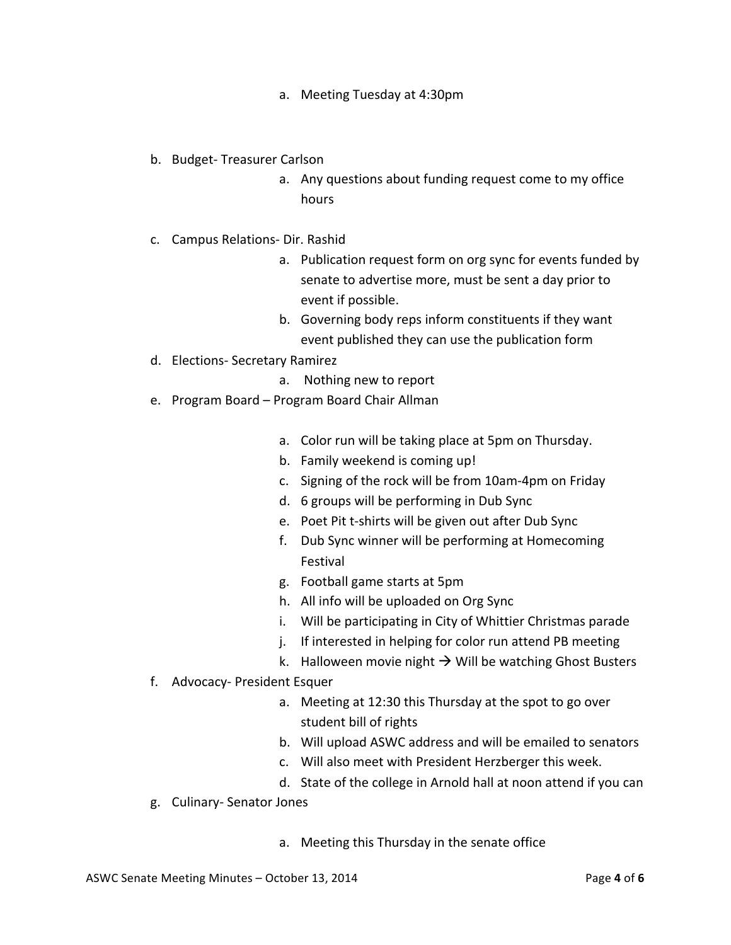- a. Meeting Tuesday at 4:30pm
- b. Budget- Treasurer Carlson
	- a. Any questions about funding request come to my office hours
- c. Campus Relations- Dir. Rashid
	- a. Publication request form on org sync for events funded by senate to advertise more, must be sent a day prior to event if possible.
	- b. Governing body reps inform constituents if they want event published they can use the publication form
- d. Elections- Secretary Ramirez
	- a. Nothing new to report
- e. Program Board Program Board Chair Allman
	- a. Color run will be taking place at 5pm on Thursday.
	- b. Family weekend is coming up!
	- c. Signing of the rock will be from 10am-4pm on Friday
	- d. 6 groups will be performing in Dub Sync
	- e. Poet Pit t-shirts will be given out after Dub Sync
	- f. Dub Sync winner will be performing at Homecoming Festival
	- g. Football game starts at 5pm
	- h. All info will be uploaded on Org Sync
	- i. Will be participating in City of Whittier Christmas parade
	- j. If interested in helping for color run attend PB meeting
	- k. Halloween movie night  $\rightarrow$  Will be watching Ghost Busters
- f. Advocacy- President Esquer
	- a. Meeting at 12:30 this Thursday at the spot to go over student bill of rights
	- b. Will upload ASWC address and will be emailed to senators
	- c. Will also meet with President Herzberger this week.
	- d. State of the college in Arnold hall at noon attend if you can
- g. Culinary- Senator Jones
	- a. Meeting this Thursday in the senate office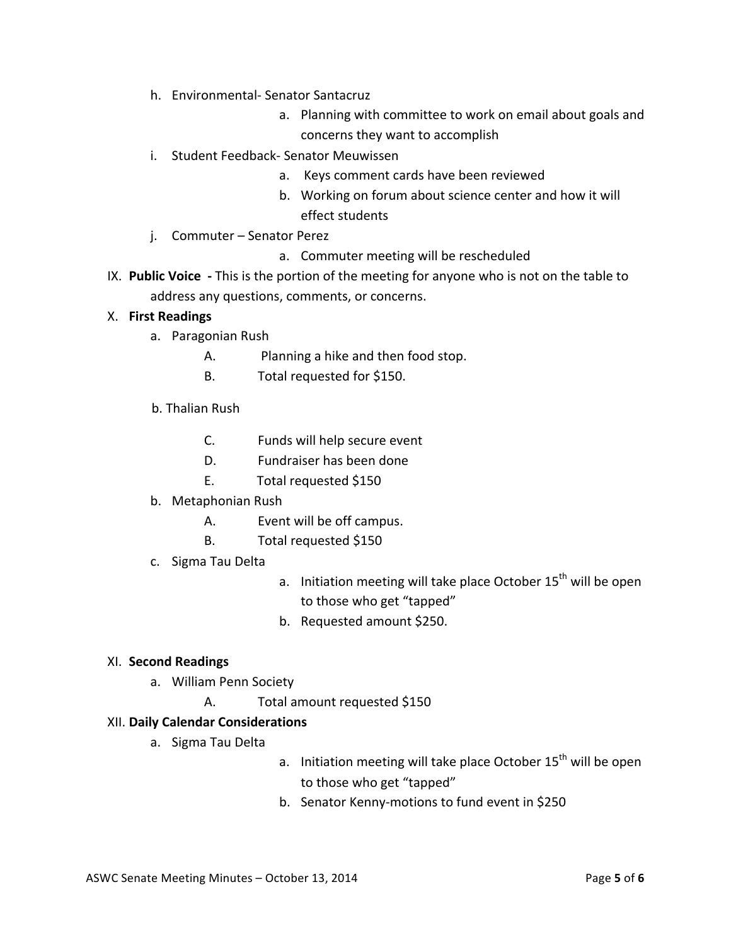- h. Environmental- Senator Santacruz
	- a. Planning with committee to work on email about goals and concerns they want to accomplish
- i. Student Feedback- Senator Meuwissen
	- a. Keys comment cards have been reviewed
	- b. Working on forum about science center and how it will effect students
- j. Commuter Senator Perez
	- a. Commuter meeting will be rescheduled
- IX. Public Voice This is the portion of the meeting for anyone who is not on the table to address any questions, comments, or concerns.

#### X. **First Readings**

- a. Paragonian Rush
	- A. Planning a hike and then food stop.
	- B. Total requested for \$150.
- b. Thalian Rush
	- C. Funds will help secure event
	- D. Fundraiser has been done
	- E. Total requested \$150
- b. Metaphonian Rush
	- A. Event will be off campus.
	- B. Total requested \$150
- c. Sigma Tau Delta
- a. Initiation meeting will take place October  $15<sup>th</sup>$  will be open to those who get "tapped"
- b. Requested amount \$250.

#### XI. **Second Readings**

- a. William Penn Society
	- A. Total amount requested \$150

#### XII. **Daily Calendar Considerations**

- a. Sigma Tau Delta
- a. Initiation meeting will take place October  $15<sup>th</sup>$  will be open to those who get "tapped"
- b. Senator Kenny-motions to fund event in \$250